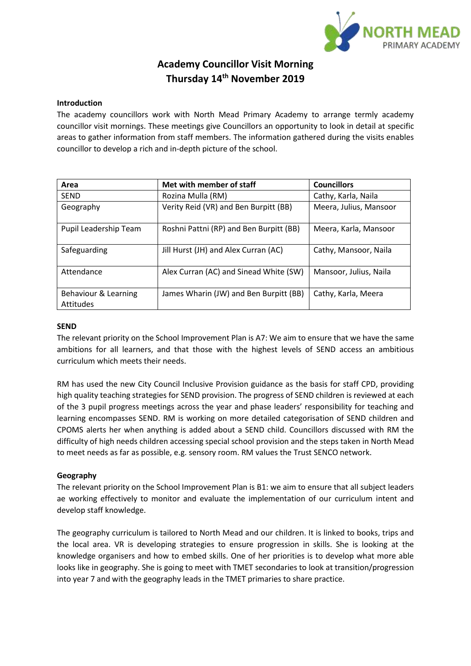

# **Academy Councillor Visit Morning Thursday 14th November 2019**

## **Introduction**

The academy councillors work with North Mead Primary Academy to arrange termly academy councillor visit mornings. These meetings give Councillors an opportunity to look in detail at specific areas to gather information from staff members. The information gathered during the visits enables councillor to develop a rich and in-depth picture of the school.

| Area                              | Met with member of staff                | <b>Councillors</b>     |
|-----------------------------------|-----------------------------------------|------------------------|
| <b>SEND</b>                       | Rozina Mulla (RM)                       | Cathy, Karla, Naila    |
| Geography                         | Verity Reid (VR) and Ben Burpitt (BB)   | Meera, Julius, Mansoor |
| Pupil Leadership Team             | Roshni Pattni (RP) and Ben Burpitt (BB) | Meera, Karla, Mansoor  |
| Safeguarding                      | Jill Hurst (JH) and Alex Curran (AC)    | Cathy, Mansoor, Naila  |
| Attendance                        | Alex Curran (AC) and Sinead White (SW)  | Mansoor, Julius, Naila |
| Behaviour & Learning<br>Attitudes | James Wharin (JW) and Ben Burpitt (BB)  | Cathy, Karla, Meera    |

## **SEND**

The relevant priority on the School Improvement Plan is A7: We aim to ensure that we have the same ambitions for all learners, and that those with the highest levels of SEND access an ambitious curriculum which meets their needs.

RM has used the new City Council Inclusive Provision guidance as the basis for staff CPD, providing high quality teaching strategies for SEND provision. The progress of SEND children is reviewed at each of the 3 pupil progress meetings across the year and phase leaders' responsibility for teaching and learning encompasses SEND. RM is working on more detailed categorisation of SEND children and CPOMS alerts her when anything is added about a SEND child. Councillors discussed with RM the difficulty of high needs children accessing special school provision and the steps taken in North Mead to meet needs as far as possible, e.g. sensory room. RM values the Trust SENCO network.

## **Geography**

The relevant priority on the School Improvement Plan is B1: we aim to ensure that all subject leaders ae working effectively to monitor and evaluate the implementation of our curriculum intent and develop staff knowledge.

The geography curriculum is tailored to North Mead and our children. It is linked to books, trips and the local area. VR is developing strategies to ensure progression in skills. She is looking at the knowledge organisers and how to embed skills. One of her priorities is to develop what more able looks like in geography. She is going to meet with TMET secondaries to look at transition/progression into year 7 and with the geography leads in the TMET primaries to share practice.